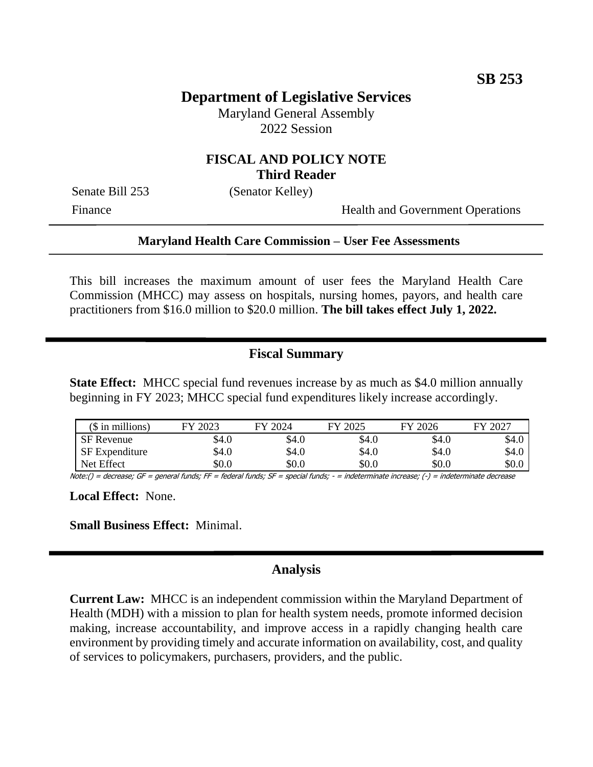# **Department of Legislative Services**

Maryland General Assembly 2022 Session

### **FISCAL AND POLICY NOTE Third Reader**

Senate Bill 253 (Senator Kelley)

Finance Health and Government Operations

#### **Maryland Health Care Commission – User Fee Assessments**

This bill increases the maximum amount of user fees the Maryland Health Care Commission (MHCC) may assess on hospitals, nursing homes, payors, and health care practitioners from \$16.0 million to \$20.0 million. **The bill takes effect July 1, 2022.**

## **Fiscal Summary**

**State Effect:** MHCC special fund revenues increase by as much as \$4.0 million annually beginning in FY 2023; MHCC special fund expenditures likely increase accordingly.

| $$$ in millions)      | 2023<br>FУ | 12024<br>FY | 2025<br>FУ. | 12026<br>FV | $-2027$<br>FV |
|-----------------------|------------|-------------|-------------|-------------|---------------|
| <b>SF</b> Revenue     | \$4.0      | \$4.0       | \$4.0       | \$4.0       | \$4.0         |
| <b>SF</b> Expenditure | \$4.0      | \$4.0       | \$4.0       | \$4.0       | \$4.0         |
| Net Effect            | \$0.0      | \$0.0       | \$0.0       | \$0.0       | \$0.0         |

Note:() = decrease; GF = general funds; FF = federal funds; SF = special funds; - = indeterminate increase; (-) = indeterminate decrease

**Local Effect:** None.

**Small Business Effect:** Minimal.

#### **Analysis**

**Current Law:** MHCC is an independent commission within the Maryland Department of Health (MDH) with a mission to plan for health system needs, promote informed decision making, increase accountability, and improve access in a rapidly changing health care environment by providing timely and accurate information on availability, cost, and quality of services to policymakers, purchasers, providers, and the public.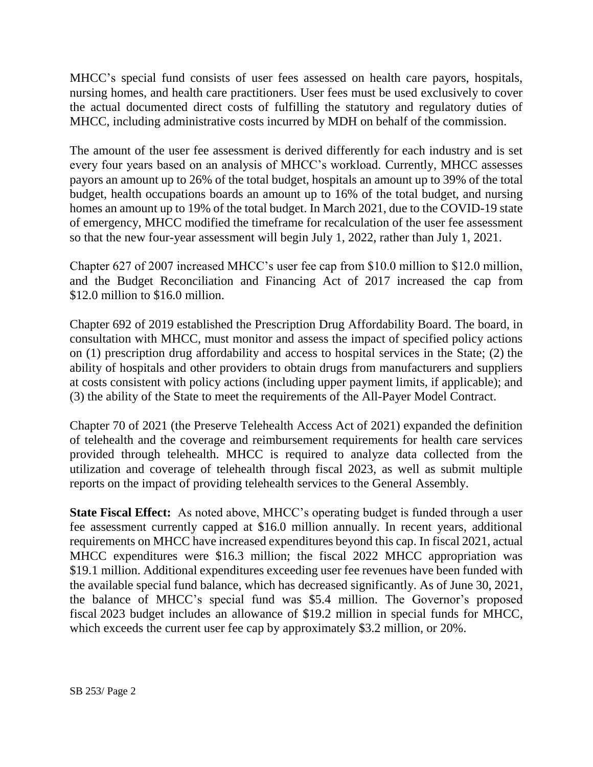MHCC's special fund consists of user fees assessed on health care payors, hospitals, nursing homes, and health care practitioners. User fees must be used exclusively to cover the actual documented direct costs of fulfilling the statutory and regulatory duties of MHCC, including administrative costs incurred by MDH on behalf of the commission.

The amount of the user fee assessment is derived differently for each industry and is set every four years based on an analysis of MHCC's workload. Currently, MHCC assesses payors an amount up to 26% of the total budget, hospitals an amount up to 39% of the total budget, health occupations boards an amount up to 16% of the total budget, and nursing homes an amount up to 19% of the total budget. In March 2021, due to the COVID-19 state of emergency, MHCC modified the timeframe for recalculation of the user fee assessment so that the new four-year assessment will begin July 1, 2022, rather than July 1, 2021.

Chapter 627 of 2007 increased MHCC's user fee cap from \$10.0 million to \$12.0 million, and the Budget Reconciliation and Financing Act of 2017 increased the cap from \$12.0 million to \$16.0 million.

Chapter 692 of 2019 established the Prescription Drug Affordability Board. The board, in consultation with MHCC, must monitor and assess the impact of specified policy actions on (1) prescription drug affordability and access to hospital services in the State; (2) the ability of hospitals and other providers to obtain drugs from manufacturers and suppliers at costs consistent with policy actions (including upper payment limits, if applicable); and (3) the ability of the State to meet the requirements of the All-Payer Model Contract.

Chapter 70 of 2021 (the Preserve Telehealth Access Act of 2021) expanded the definition of telehealth and the coverage and reimbursement requirements for health care services provided through telehealth. MHCC is required to analyze data collected from the utilization and coverage of telehealth through fiscal 2023, as well as submit multiple reports on the impact of providing telehealth services to the General Assembly.

**State Fiscal Effect:** As noted above, MHCC's operating budget is funded through a user fee assessment currently capped at \$16.0 million annually. In recent years, additional requirements on MHCC have increased expenditures beyond this cap. In fiscal 2021, actual MHCC expenditures were \$16.3 million; the fiscal 2022 MHCC appropriation was \$19.1 million. Additional expenditures exceeding user fee revenues have been funded with the available special fund balance, which has decreased significantly. As of June 30, 2021, the balance of MHCC's special fund was \$5.4 million. The Governor's proposed fiscal 2023 budget includes an allowance of \$19.2 million in special funds for MHCC, which exceeds the current user fee cap by approximately \$3.2 million, or 20%.